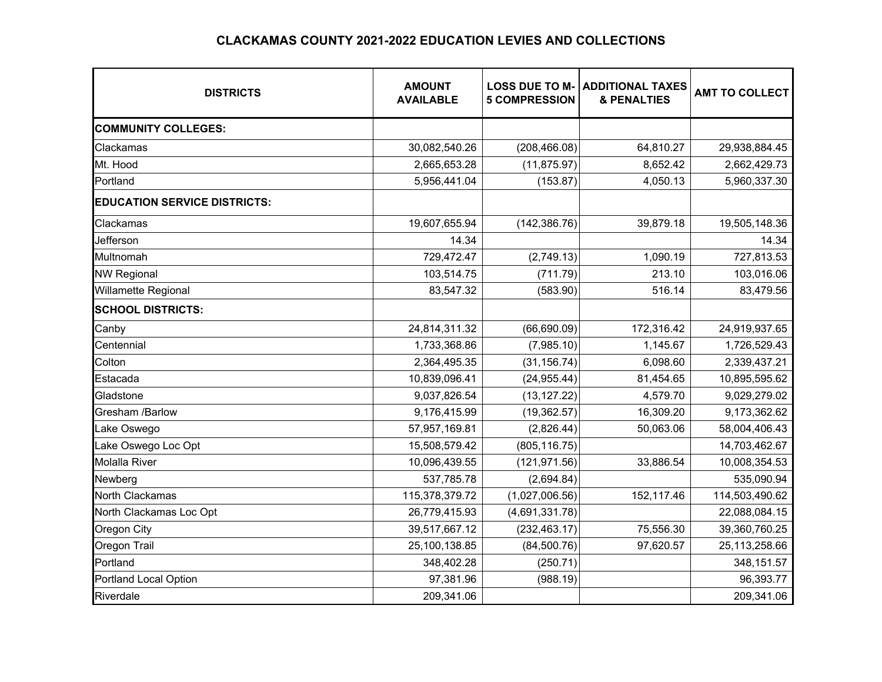## **CLACKAMAS COUNTY 2021-2022 EDUCATION LEVIES AND COLLECTIONS**

| <b>DISTRICTS</b>                    | <b>AMOUNT</b><br><b>AVAILABLE</b> | <b>LOSS DUE TO M-</b><br><b>5 COMPRESSION</b> | <b>ADDITIONAL TAXES</b><br><b>&amp; PENALTIES</b> | <b>AMT TO COLLECT</b> |
|-------------------------------------|-----------------------------------|-----------------------------------------------|---------------------------------------------------|-----------------------|
| <b>COMMUNITY COLLEGES:</b>          |                                   |                                               |                                                   |                       |
| Clackamas                           | 30,082,540.26                     | (208, 466.08)                                 | 64,810.27                                         | 29,938,884.45         |
| Mt. Hood                            | 2,665,653.28                      | (11, 875.97)                                  | 8,652.42                                          | 2,662,429.73          |
| Portland                            | 5,956,441.04                      | (153.87)                                      | 4,050.13                                          | 5,960,337.30          |
| <b>EDUCATION SERVICE DISTRICTS:</b> |                                   |                                               |                                                   |                       |
| Clackamas                           | 19,607,655.94                     | (142, 386.76)                                 | 39,879.18                                         | 19,505,148.36         |
| Jefferson                           | 14.34                             |                                               |                                                   | 14.34                 |
| Multnomah                           | 729,472.47                        | (2,749.13)                                    | 1,090.19                                          | 727,813.53            |
| <b>NW Regional</b>                  | 103,514.75                        | (711.79)                                      | 213.10                                            | 103,016.06            |
| <b>Willamette Regional</b>          | 83,547.32                         | (583.90)                                      | 516.14                                            | 83,479.56             |
| <b>SCHOOL DISTRICTS:</b>            |                                   |                                               |                                                   |                       |
| Canby                               | 24,814,311.32                     | (66, 690.09)                                  | 172,316.42                                        | 24,919,937.65         |
| Centennial                          | 1,733,368.86                      | (7,985.10)                                    | 1,145.67                                          | 1,726,529.43          |
| Colton                              | 2,364,495.35                      | (31, 156.74)                                  | 6,098.60                                          | 2,339,437.21          |
| Estacada                            | 10,839,096.41                     | (24, 955.44)                                  | 81,454.65                                         | 10,895,595.62         |
| Gladstone                           | 9,037,826.54                      | (13, 127.22)                                  | 4,579.70                                          | 9,029,279.02          |
| Gresham /Barlow                     | 9,176,415.99                      | (19, 362.57)                                  | 16,309.20                                         | 9,173,362.62          |
| Lake Oswego                         | 57,957,169.81                     | (2,826.44)                                    | 50,063.06                                         | 58,004,406.43         |
| Lake Oswego Loc Opt                 | 15,508,579.42                     | (805, 116.75)                                 |                                                   | 14,703,462.67         |
| <b>Molalla River</b>                | 10,096,439.55                     | (121, 971.56)                                 | 33,886.54                                         | 10,008,354.53         |
| Newberg                             | 537,785.78                        | (2,694.84)                                    |                                                   | 535,090.94            |
| North Clackamas                     | 115,378,379.72                    | (1,027,006.56)                                | 152,117.46                                        | 114,503,490.62        |
| North Clackamas Loc Opt             | 26,779,415.93                     | (4,691,331.78)                                |                                                   | 22,088,084.15         |
| Oregon City                         | 39,517,667.12                     | (232, 463.17)                                 | 75,556.30                                         | 39,360,760.25         |
| Oregon Trail                        | 25,100,138.85                     | (84,500.76)                                   | 97,620.57                                         | 25,113,258.66         |
| Portland                            | 348,402.28                        | (250.71)                                      |                                                   | 348, 151.57           |
| <b>Portland Local Option</b>        | 97,381.96                         | (988.19)                                      |                                                   | 96,393.77             |
| Riverdale                           | 209,341.06                        |                                               |                                                   | 209,341.06            |